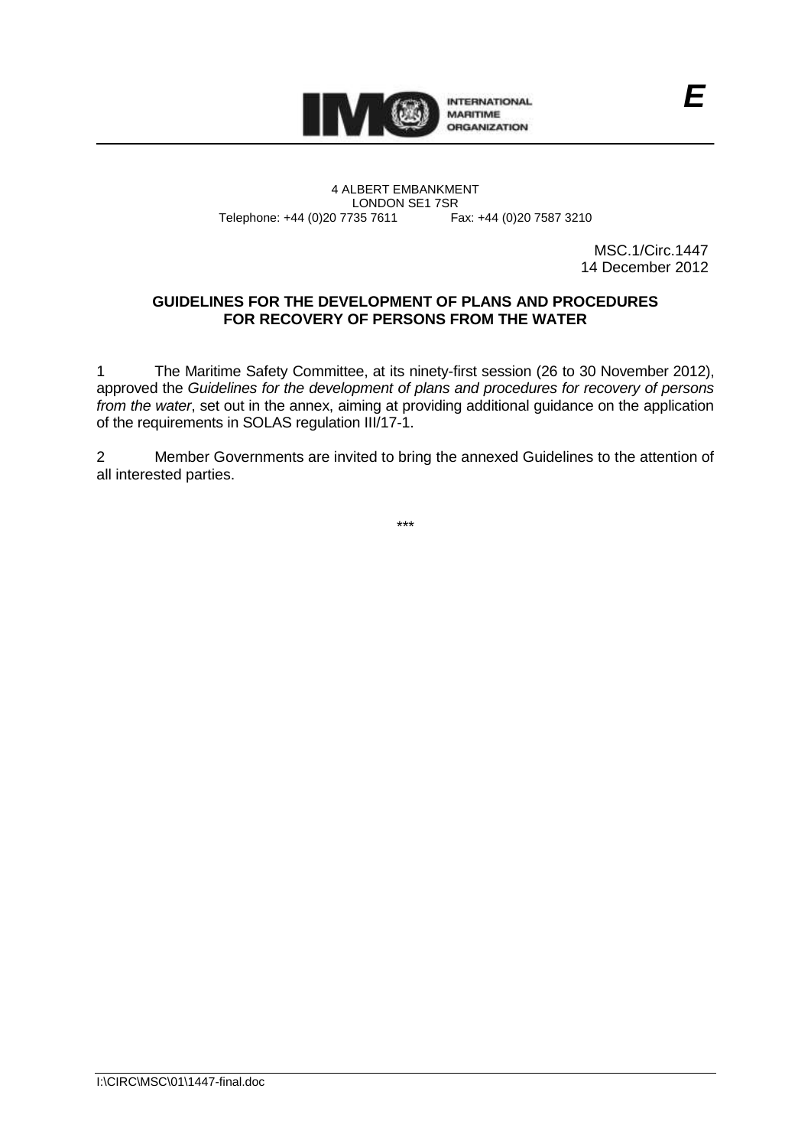

4 ALBERT EMBANKMENT Telephone: +44 (0)20 7735 7611

LONDON SE1 7SR<br>735 7611 Fax: +44 (0)20 7587 3210

MSC.1/Circ.1447 14 December 2012

*E*

## **GUIDELINES FOR THE DEVELOPMENT OF PLANS AND PROCEDURES FOR RECOVERY OF PERSONS FROM THE WATER**

1 The Maritime Safety Committee, at its ninety-first session (26 to 30 November 2012), approved the *Guidelines for the development of plans and procedures for recovery of persons from the water*, set out in the annex, aiming at providing additional guidance on the application of the requirements in SOLAS regulation III/17-1.

2 Member Governments are invited to bring the annexed Guidelines to the attention of all interested parties.

\*\*\*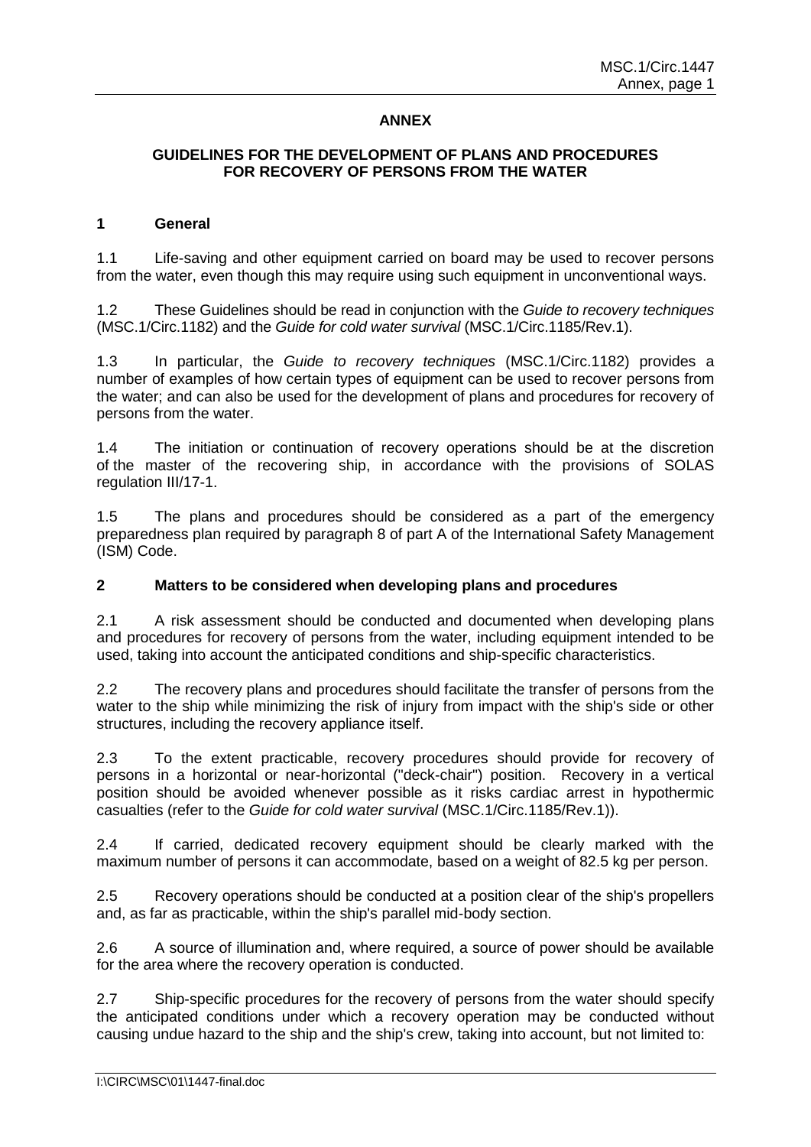# **ANNEX**

## **GUIDELINES FOR THE DEVELOPMENT OF PLANS AND PROCEDURES FOR RECOVERY OF PERSONS FROM THE WATER**

#### **1 General**

1.1 Life-saving and other equipment carried on board may be used to recover persons from the water, even though this may require using such equipment in unconventional ways.

1.2 These Guidelines should be read in conjunction with the *Guide to recovery techniques* (MSC.1/Circ.1182) and the *Guide for cold water survival* (MSC.1/Circ.1185/Rev.1).

1.3 In particular, the *Guide to recovery techniques* (MSC.1/Circ.1182) provides a number of examples of how certain types of equipment can be used to recover persons from the water; and can also be used for the development of plans and procedures for recovery of persons from the water.

1.4 The initiation or continuation of recovery operations should be at the discretion of the master of the recovering ship, in accordance with the provisions of SOLAS regulation III/17-1.

1.5 The plans and procedures should be considered as a part of the emergency preparedness plan required by paragraph 8 of part A of the International Safety Management (ISM) Code.

#### **2 Matters to be considered when developing plans and procedures**

2.1 A risk assessment should be conducted and documented when developing plans and procedures for recovery of persons from the water, including equipment intended to be used, taking into account the anticipated conditions and ship-specific characteristics.

2.2 The recovery plans and procedures should facilitate the transfer of persons from the water to the ship while minimizing the risk of injury from impact with the ship's side or other structures, including the recovery appliance itself.

2.3 To the extent practicable, recovery procedures should provide for recovery of persons in a horizontal or near-horizontal ("deck-chair") position. Recovery in a vertical position should be avoided whenever possible as it risks cardiac arrest in hypothermic casualties (refer to the *Guide for cold water survival* (MSC.1/Circ.1185/Rev.1)).

2.4 If carried, dedicated recovery equipment should be clearly marked with the maximum number of persons it can accommodate, based on a weight of 82.5 kg per person.

2.5 Recovery operations should be conducted at a position clear of the ship's propellers and, as far as practicable, within the ship's parallel mid-body section.

2.6 A source of illumination and, where required, a source of power should be available for the area where the recovery operation is conducted.

2.7 Ship-specific procedures for the recovery of persons from the water should specify the anticipated conditions under which a recovery operation may be conducted without causing undue hazard to the ship and the ship's crew, taking into account, but not limited to: